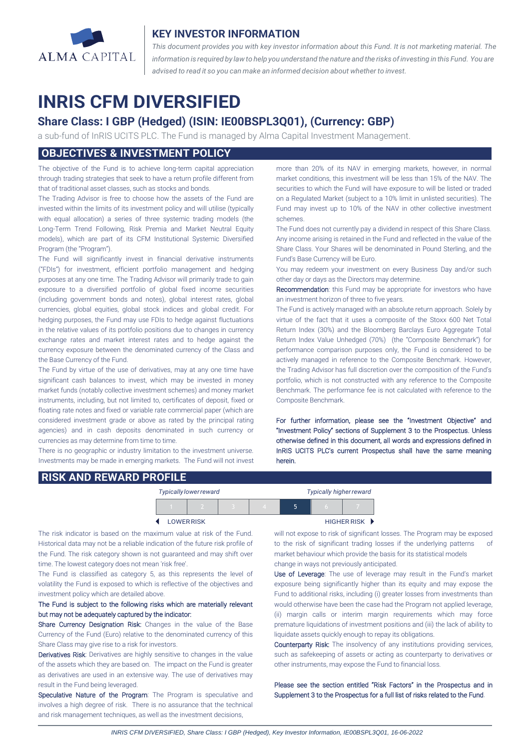

## **KEY INVESTOR INFORMATION**

*This document provides you with key investor information about this Fund. It is not marketing material. The* information is required by law to help you understand the nature and the risks of investing in this Fund. You are *advised to read it so you can make an informed decision about whether to invest.*

# **INRIS CFM DIVERSIFIED**

## **Share Class: I GBP (Hedged) (ISIN: IE00BSPL3Q01), (Currency: GBP)**

a sub-fund of InRIS UCITS PLC. The Fund is managed by Alma Capital Investment Management.

## **OBJECTIVES & INVESTMENT POLICY**

The objective of the Fund is to achieve long-term capital appreciation through trading strategies that seek to have a return profile different from that of traditional asset classes, such as stocks and bonds.

The Trading Advisor is free to choose how the assets of the Fund are invested within the limits of its investment policy and will utilise (typically with equal allocation) a series of three systemic trading models (the Long-Term Trend Following, Risk Premia and Market Neutral Equity models), which are part of its CFM Institutional Systemic Diversified Program (the "Program").

The Fund will significantly invest in financial derivative instruments ("FDIs") for investment, efficient portfolio management and hedging purposes at any one time. The Trading Advisor will primarily trade to gain exposure to a diversified portfolio of global fixed income securities (including government bonds and notes), global interest rates, global currencies, global equities, global stock indices and global credit. For hedging purposes, the Fund may use FDIs to hedge against fluctuations in the relative values of its portfolio positions due to changes in currency exchange rates and market interest rates and to hedge against the currency exposure between the denominated currency of the Class and the Base Currency of the Fund.

The Fund by virtue of the use of derivatives, may at any one time have significant cash balances to invest, which may be invested in money market funds (notably collective investment schemes) and money market instruments, including, but not limited to, certificates of deposit, fixed or floating rate notes and fixed or variable rate commercial paper (which are considered investment grade or above as rated by the principal rating agencies) and in cash deposits denominated in such currency or currencies as may determine from time to time.

There is no geographic or industry limitation to the investment universe. Investments may be made in emerging markets. The Fund will not invest more than 20% of its NAV in emerging markets, however, in normal market conditions, this investment will be less than 15% of the NAV. The securities to which the Fund will have exposure to will be listed or traded on a Regulated Market (subject to a 10% limit in unlisted securities). The Fund may invest up to 10% of the NAV in other collective investment schemes.

The Fund does not currently pay a dividend in respect of this Share Class. Any income arising is retained in the Fund and reflected in the value of the Share Class. Your Shares will be denominated in Pound Sterling, and the Fund's Base Currency will be Euro.

You may redeem your investment on every Business Day and/or such other day or days as the Directors may determine.

Recommendation: this Fund may be appropriate for investors who have an investment horizon of three to five years.

The Fund is actively managed with an absolute return approach. Solely by virtue of the fact that it uses a composite of the Stoxx 600 Net Total Return Index (30%) and the Bloomberg Barclays Euro Aggregate Total Return Index Value Unhedged (70%) (the "Composite Benchmark") for performance comparison purposes only, the Fund is considered to be actively managed in reference to the Composite Benchmark. However, the Trading Advisor has full discretion over the composition of the Fund's portfolio, which is not constructed with any reference to the Composite Benchmark. The performance fee is not calculated with reference to the Composite Benchmark.

For further information, please see the "Investment Objective" and "Investment Policy" sections of Supplement 3 to the Prospectus. Unless otherwise defined in this document, all words and expressions defined in InRIS UCITS PLC's current Prospectus shall have the same meaning herein.

## **RISK AND REWARD PROFILE**

|                  | <b>Typically lower reward</b> |  | <b>Typically higher reward</b> |  |  |             |
|------------------|-------------------------------|--|--------------------------------|--|--|-------------|
|                  |                               |  | $\overline{A}$                 |  |  |             |
| <b>LOWERRISK</b> |                               |  |                                |  |  | HIGHER RISK |

The risk indicator is based on the maximum value at risk of the Fund. Historical data may not be a reliable indication of the future risk profile of the Fund. The risk category shown is not guaranteed and may shift over time. The lowest category does not mean 'risk free'

The Fund is classified as category 5, as this represents the level of volatility the Fund is exposed to which is reflective of the objectives and investment policy which are detailed above.

### The Fund is subject to the following risks which are materially relevant but may not be adequately captured by the indicator:

Share Currency Designation Risk: Changes in the value of the Base Currency of the Fund (Euro) relative to the denominated currency of this Share Class may give rise to a risk for investors.

Derivatives Risk: Derivatives are highly sensitive to changes in the value of the assets which they are based on. The impact on the Fund is greater as derivatives are used in an extensive way. The use of derivatives may result in the Fund being leveraged.

Speculative Nature of the Program: The Program is speculative and involves a high degree of risk. There is no assurance that the technical and risk management techniques, as well as the investment decisions,

will not expose to risk of significant losses. The Program may be exposed to the risk of significant trading losses if the underlying patterns market behaviour which provide the basis for its statistical models change in ways not previously anticipated.

Use of Leverage: The use of leverage may result in the Fund's market exposure being significantly higher than its equity and may expose the Fund to additional risks, including (i) greater losses from investments than would otherwise have been the case had the Program not applied leverage, (ii) margin calls or interim margin requirements which may force premature liquidations of investment positions and (iii) the lack of ability to liquidate assets quickly enough to repay its obligations.

Counterparty Risk: The insolvency of any institutions providing services, such as safekeeping of assets or acting as counterparty to derivatives or other instruments, may expose the Fund to financial loss.

Please see the section entitled "Risk Factors" in the Prospectus and in Supplement 3 to the Prospectus for a full list of risks related to the Fund.